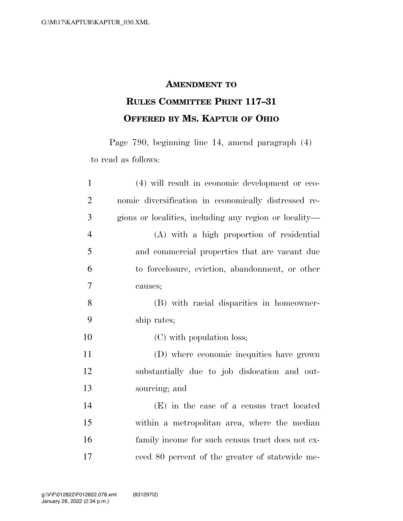## **AMENDMENT TO**

## **RULES COMMITTEE PRINT 117–31 OFFERED BY MS. KAPTUR OF OHIO**

Page 790, beginning line 14, amend paragraph (4) to read as follows:

| $\mathbf{1}$   | (4) will result in economic development or eco-        |
|----------------|--------------------------------------------------------|
| $\overline{2}$ | nomic diversification in economically distressed re-   |
| 3              | gions or localities, including any region or locality- |
| $\overline{4}$ | (A) with a high proportion of residential              |
| 5              | and commercial properties that are vacant due          |
| 6              | to foreclosure, eviction, abandonment, or other        |
| 7              | causes;                                                |
| 8              | (B) with racial disparities in homeowner-              |
| 9              | ship rates;                                            |
| 10             | (C) with population loss;                              |
| 11             | (D) where economic inequities have grown               |
| 12             | substantially due to job dislocation and out-          |
| 13             | sourcing; and                                          |
| 14             | (E) in the case of a census tract located              |
| 15             | within a metropolitan area, where the median           |
| 16             | family income for such census tract does not ex-       |
| 17             | ceed 80 percent of the greater of statewide me-        |